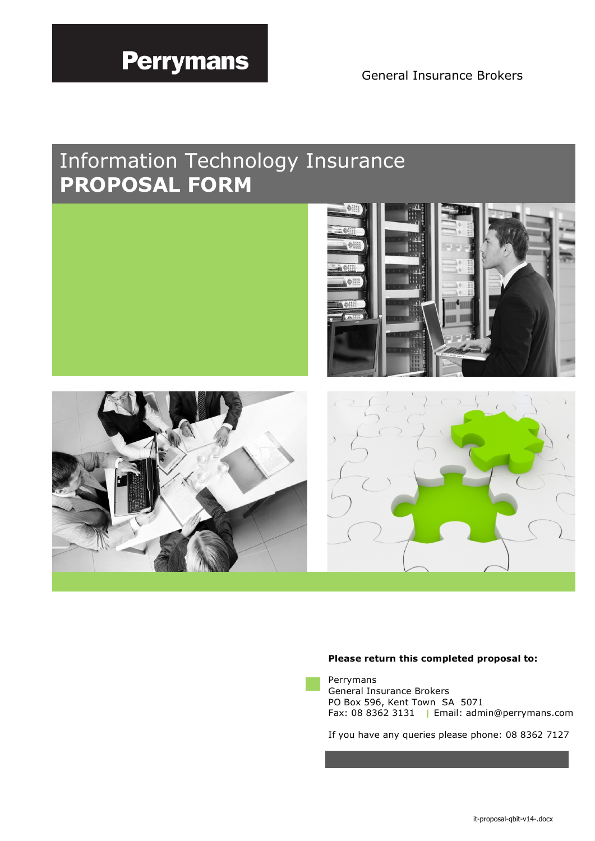# **Perrymans**

General Insurance Brokers

Ĝ.

 $\bigoplus_{i=1}^{n}$ 

## Information Technology Insurance **PROPOSAL FORM**





## **Please return this completed proposal to:**



Perrymans General Insurance Brokers PO Box 596, Kent Town SA 5071 Fax: 08 8362 3131 Email: admin@perrymans.com

If you have any queries please phone: 08 8362 7127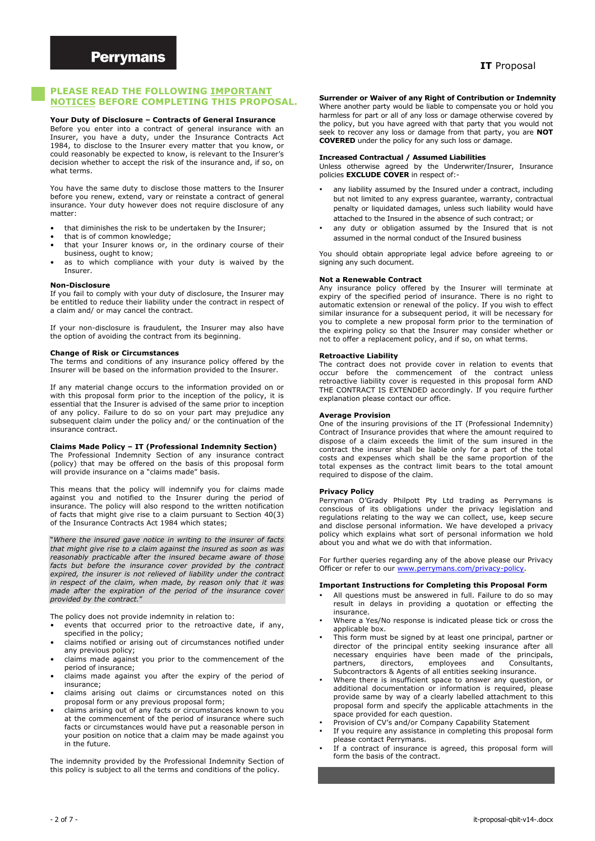#### **PLEASE READ THE FOLLOWING IMPORTANT NOTICES BEFORE COMPLETING THIS PROPOSAL.**

#### **Your Duty of Disclosure – Contracts of General Insurance**

Before you enter into a contract of general insurance with an Insurer, you have a duty, under the Insurance Contracts Act 1984, to disclose to the Insurer every matter that you know, or could reasonably be expected to know, is relevant to the Insurer's decision whether to accept the risk of the insurance and, if so, on what terms.

You have the same duty to disclose those matters to the Insurer before you renew, extend, vary or reinstate a contract of general insurance. Your duty however does not require disclosure of any matter:

- that diminishes the risk to be undertaken by the Insurer;
- that is of common knowledge;
- that your Insurer knows or, in the ordinary course of their business, ought to know;
- as to which compliance with your duty is waived by the Insurer.

#### **Non-Disclosure**

If you fail to comply with your duty of disclosure, the Insurer may be entitled to reduce their liability under the contract in respect of a claim and/ or may cancel the contract.

If your non-disclosure is fraudulent, the Insurer may also have the option of avoiding the contract from its beginning.

#### **Change of Risk or Circumstances**

The terms and conditions of any insurance policy offered by the Insurer will be based on the information provided to the Insurer.

If any material change occurs to the information provided on or with this proposal form prior to the inception of the policy, it is essential that the Insurer is advised of the same prior to inception of any policy. Failure to do so on your part may prejudice any subsequent claim under the policy and/ or the continuation of the insurance contract.

## **Claims Made Policy – IT (Professional Indemnity Section)**

The Professional Indemnity Section of any insurance contract (policy) that may be offered on the basis of this proposal form will provide insurance on a "claims made" basis.

This means that the policy will indemnify you for claims made against you and notified to the Insurer during the period of insurance. The policy will also respond to the written notification of facts that might give rise to a claim pursuant to Section 40(3) of the Insurance Contracts Act 1984 which states;

"*Where the insured gave notice in writing to the insurer of facts that might give rise to a claim against the insured as soon as was reasonably practicable after the insured became aware of those facts but before the insurance cover provided by the contract expired, the insurer is not relieved of liability under the contract in respect of the claim, when made, by reason only that it was made after the expiration of the period of the insurance cover provided by the contract.*"

The policy does not provide indemnity in relation to:

- events that occurred prior to the retroactive date, if any, specified in the policy;
- claims notified or arising out of circumstances notified under any previous policy;
- claims made against you prior to the commencement of the period of insurance;
- claims made against you after the expiry of the period of insurance;
- claims arising out claims or circumstances noted on this proposal form or any previous proposal form;
- claims arising out of any facts or circumstances known to you at the commencement of the period of insurance where such facts or circumstances would have put a reasonable person in your position on notice that a claim may be made against you in the future.

The indemnity provided by the Professional Indemnity Section of this policy is subject to all the terms and conditions of the policy.

**Surrender or Waiver of any Right of Contribution or Indemnity** Where another party would be liable to compensate you or hold you harmless for part or all of any loss or damage otherwise covered by the policy, but you have agreed with that party that you would not seek to recover any loss or damage from that party, you are **NOT COVERED** under the policy for any such loss or damage.

#### **Increased Contractual / Assumed Liabilities**

Unless otherwise agreed by the Underwriter/Insurer, Insurance policies **EXCLUDE COVER** in respect of:-

- any liability assumed by the Insured under a contract, including but not limited to any express guarantee, warranty, contractual penalty or liquidated damages, unless such liability would have attached to the Insured in the absence of such contract; or
- any duty or obligation assumed by the Insured that is not assumed in the normal conduct of the Insured business

You should obtain appropriate legal advice before agreeing to or signing any such document.

#### **Not a Renewable Contract**

Any insurance policy offered by the Insurer will terminate at expiry of the specified period of insurance. There is no right to automatic extension or renewal of the policy. If you wish to effect similar insurance for a subsequent period, it will be necessary for you to complete a new proposal form prior to the termination of the expiring policy so that the Insurer may consider whether or not to offer a replacement policy, and if so, on what terms.

#### **Retroactive Liability**

The contract does not provide cover in relation to events that occur before the commencement of the contract unless retroactive liability cover is requested in this proposal form AND THE CONTRACT IS EXTENDED accordingly. If you require further explanation please contact our office.

#### **Average Provision**

One of the insuring provisions of the IT (Professional Indemnity) Contract of Insurance provides that where the amount required to dispose of a claim exceeds the limit of the sum insured in the contract the insurer shall be liable only for a part of the total costs and expenses which shall be the same proportion of the total expenses as the contract limit bears to the total amount required to dispose of the claim.

#### **Privacy Policy**

Perryman O'Grady Philpott Pty Ltd trading as Perrymans is conscious of its obligations under the privacy legislation and regulations relating to the way we can collect, use, keep secure and disclose personal information. We have developed a privacy policy which explains what sort of personal information we hold about you and what we do with that information.

For further queries regarding any of the above please our Privacy Officer or refer to our www.perrymans.com/privacy-policy.

#### **Important Instructions for Completing this Proposal Form**

- All questions must be answered in full. Failure to do so may result in delays in providing a quotation or effecting the insurance.
- Where a Yes/No response is indicated please tick or cross the applicable box.
- This form must be signed by at least one principal, partner or director of the principal entity seeking insurance after all necessary enquiries have been made of the principals, partners, directors, employees and Consultants, Subcontractors & Agents of all entities seeking insurance.
- Where there is insufficient space to answer any question, or additional documentation or information is required, please provide same by way of a clearly labelled attachment to this proposal form and specify the applicable attachments in the space provided for each question.
- Provision of CV's and/or Company Capability Statement
- If you require any assistance in completing this proposal form please contact Perrymans.
- If a contract of insurance is agreed, this proposal form will form the basis of the contract.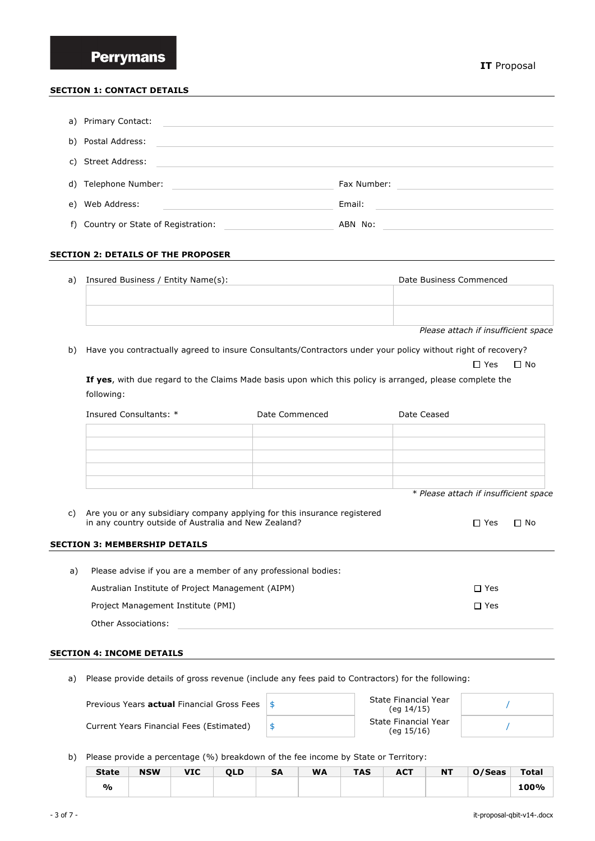## **SECTION 1: CONTACT DETAILS**

| a) Primary Contact:                  |             |
|--------------------------------------|-------------|
| b) Postal Address:                   |             |
| c) Street Address:                   |             |
| d) Telephone Number:                 | Fax Number: |
| e) Web Address:                      | Email:      |
| f) Country or State of Registration: | ABN No:     |

#### **SECTION 2: DETAILS OF THE PROPOSER**

| a) | Insured Business / Entity Name(s): | Date Business Commenced |
|----|------------------------------------|-------------------------|
|    |                                    |                         |
|    |                                    |                         |
|    |                                    |                         |
|    |                                    | ____<br>$ -$            |

*Please attach if insufficient space*

b) Have you contractually agreed to insure Consultants/Contractors under your policy without right of recovery?

□ Yes □ No

**If yes**, with due regard to the Claims Made basis upon which this policy is arranged, please complete the following:

|    | Insured Consultants: *                                                                                                           | Date Commenced | Date Ceased                           |           |
|----|----------------------------------------------------------------------------------------------------------------------------------|----------------|---------------------------------------|-----------|
|    |                                                                                                                                  |                |                                       |           |
|    |                                                                                                                                  |                |                                       |           |
|    |                                                                                                                                  |                |                                       |           |
|    |                                                                                                                                  |                | * Please attach if insufficient space |           |
| C) | Are you or any subsidiary company applying for this insurance registered<br>in any country outside of Australia and New Zealand? |                | $\Box$ Yes                            | $\Box$ No |
|    | <b>SECTION 3: MEMBERSHIP DETAILS</b>                                                                                             |                |                                       |           |
| a) | Please advise if you are a member of any professional bodies:                                                                    |                |                                       |           |
|    | Australian Institute of Project Management (AIPM)                                                                                |                | $\Box$ Yes                            |           |
|    | Project Management Institute (PMI)                                                                                               |                |                                       |           |

#### **SECTION 4: INCOME DETAILS**

Other Associations:

a) Please provide details of gross revenue (include any fees paid to Contractors) for the following:

| Previous Years <b>actual</b> Financial Gross Fees $\frac{1}{5}$ | State Financial Year<br>(eq 14/15) |  |
|-----------------------------------------------------------------|------------------------------------|--|
| Current Years Financial Fees (Estimated)                        | State Financial Year<br>(eq 15/16) |  |

b) Please provide a percentage (%) breakdown of the fee income by State or Territory:

| <b>State</b> | <b>NSW</b> | <b>VIC</b> | <b>OLD</b> | SΑ | <b>WA</b> | <b>TAS</b> | <b>ACT</b> | <b>NT</b> | O/Seas | Total |
|--------------|------------|------------|------------|----|-----------|------------|------------|-----------|--------|-------|
| %            |            |            |            |    |           |            |            |           |        |       |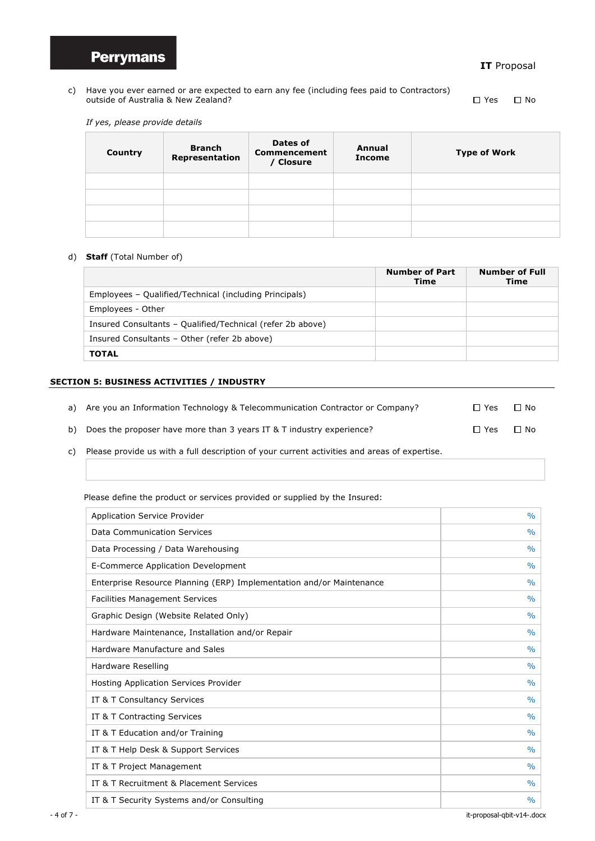

## **IT** Proposal

c) Have you ever earned or are expected to earn any fee (including fees paid to Contractors) outside of Australia & New Zealand? Notified the Second Second Management of the Second Management of  $\Box$  Yes  $\Box$  No

*If yes, please provide details* 

| Country | <b>Branch</b><br>Representation | Dates of<br><b>Commencement</b><br>/ Closure | Annual<br><b>Income</b> | <b>Type of Work</b> |
|---------|---------------------------------|----------------------------------------------|-------------------------|---------------------|
|         |                                 |                                              |                         |                     |
|         |                                 |                                              |                         |                     |
|         |                                 |                                              |                         |                     |
|         |                                 |                                              |                         |                     |

## d) **Staff** (Total Number of)

|                                                            | <b>Number of Part</b><br>Time | <b>Number of Full</b><br>Time |
|------------------------------------------------------------|-------------------------------|-------------------------------|
| Employees – Qualified/Technical (including Principals)     |                               |                               |
| Employees - Other                                          |                               |                               |
| Insured Consultants - Qualified/Technical (refer 2b above) |                               |                               |
| Insured Consultants - Other (refer 2b above)               |                               |                               |
| <b>TOTAL</b>                                               |                               |                               |

## **SECTION 5: BUSINESS ACTIVITIES / INDUSTRY**

| a) Are you an Information Technology & Telecommunication Contractor or Company? | $\Box$ Yes | $\Box$ No |
|---------------------------------------------------------------------------------|------------|-----------|
| b) Does the proposer have more than 3 years IT & T industry experience?         | $\Box$ Yes | $\Box$ No |

c) Please provide us with a full description of your current activities and areas of expertise.

Please define the product or services provided or supplied by the Insured:

| <b>Application Service Provider</b>                                  | $\frac{0}{0}$ |
|----------------------------------------------------------------------|---------------|
| Data Communication Services                                          | $\frac{0}{0}$ |
| Data Processing / Data Warehousing                                   | $\frac{0}{0}$ |
| E-Commerce Application Development                                   | $\frac{0}{0}$ |
| Enterprise Resource Planning (ERP) Implementation and/or Maintenance | $\frac{0}{0}$ |
| <b>Facilities Management Services</b>                                | $\frac{0}{0}$ |
| Graphic Design (Website Related Only)                                | $\frac{0}{0}$ |
| Hardware Maintenance, Installation and/or Repair                     | $\frac{0}{0}$ |
| Hardware Manufacture and Sales                                       | $\frac{0}{0}$ |
| Hardware Reselling                                                   | $\frac{0}{0}$ |
| Hosting Application Services Provider                                | $\frac{0}{0}$ |
| IT & T Consultancy Services                                          | $\frac{0}{0}$ |
| IT & T Contracting Services                                          | $\frac{0}{0}$ |
| IT & T Education and/or Training                                     | $\frac{0}{0}$ |
| IT & T Help Desk & Support Services                                  | $\frac{0}{0}$ |
| IT & T Project Management                                            | $\frac{0}{0}$ |
| IT & T Recruitment & Placement Services                              | $\frac{0}{0}$ |
| IT & T Security Systems and/or Consulting                            | $\frac{0}{0}$ |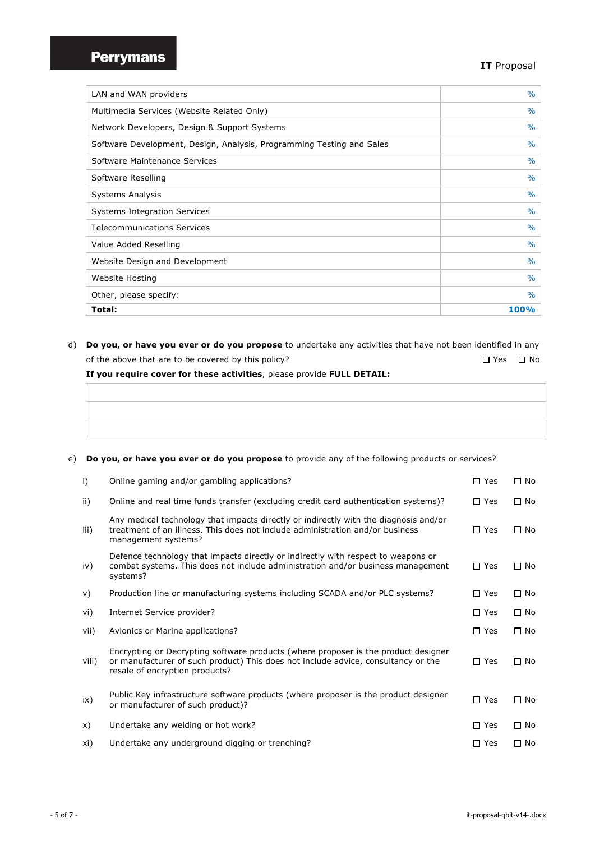## **IT** Proposal

| LAN and WAN providers                                                 | $\%$          |
|-----------------------------------------------------------------------|---------------|
| Multimedia Services (Website Related Only)                            | $\%$          |
| Network Developers, Design & Support Systems                          | $\%$          |
| Software Development, Design, Analysis, Programming Testing and Sales | $\frac{0}{0}$ |
| Software Maintenance Services                                         | $\%$          |
| Software Reselling                                                    | $\frac{0}{0}$ |
| <b>Systems Analysis</b>                                               | $\frac{0}{0}$ |
| <b>Systems Integration Services</b>                                   | $\frac{0}{0}$ |
| <b>Telecommunications Services</b>                                    | $\frac{0}{0}$ |
| Value Added Reselling                                                 | $\%$          |
| Website Design and Development                                        | $\frac{0}{0}$ |
| Website Hosting                                                       | $\frac{0}{0}$ |
| Other, please specify:                                                | $\frac{0}{0}$ |
| Total:                                                                | 100%          |

d) **Do you, or have you ever or do you propose** to undertake any activities that have not been identified in any of the above that are to be covered by this policy?  $\square$  Yes  $\square$  Yes  $\square$  No

**If you require cover for these activities**, please provide **FULL DETAIL:**

- 
- e) **Do you, or have you ever or do you propose** to provide any of the following products or services?

| i)    | Online gaming and/or gambling applications?                                                                                                                                                               | $\Box$ Yes | $\Box$ No    |
|-------|-----------------------------------------------------------------------------------------------------------------------------------------------------------------------------------------------------------|------------|--------------|
| ii)   | Online and real time funds transfer (excluding credit card authentication systems)?                                                                                                                       | $\Box$ Yes | $\Box$ No    |
| iii)  | Any medical technology that impacts directly or indirectly with the diagnosis and/or<br>treatment of an illness. This does not include administration and/or business<br>management systems?              | $\Box$ Yes | $\square$ No |
| iv)   | Defence technology that impacts directly or indirectly with respect to weapons or<br>combat systems. This does not include administration and/or business management<br>systems?                          | $\Box$ Yes | $\Box$ No    |
| v)    | Production line or manufacturing systems including SCADA and/or PLC systems?                                                                                                                              | $\Box$ Yes | $\square$ No |
| vi)   | Internet Service provider?                                                                                                                                                                                | $\Box$ Yes | $\Box$ No    |
| vii)  | Avionics or Marine applications?                                                                                                                                                                          | $\Box$ Yes | $\square$ No |
| viii) | Encrypting or Decrypting software products (where proposer is the product designer<br>or manufacturer of such product) This does not include advice, consultancy or the<br>resale of encryption products? | $\Box$ Yes | $\Box$ No    |
| ix)   | Public Key infrastructure software products (where proposer is the product designer<br>or manufacturer of such product)?                                                                                  | $\Box$ Yes | $\Box$ No    |
| x)    | Undertake any welding or hot work?                                                                                                                                                                        | $\Box$ Yes | $\square$ No |
| xi)   | Undertake any underground digging or trenching?                                                                                                                                                           | $\Box$ Yes | $\Box$ No    |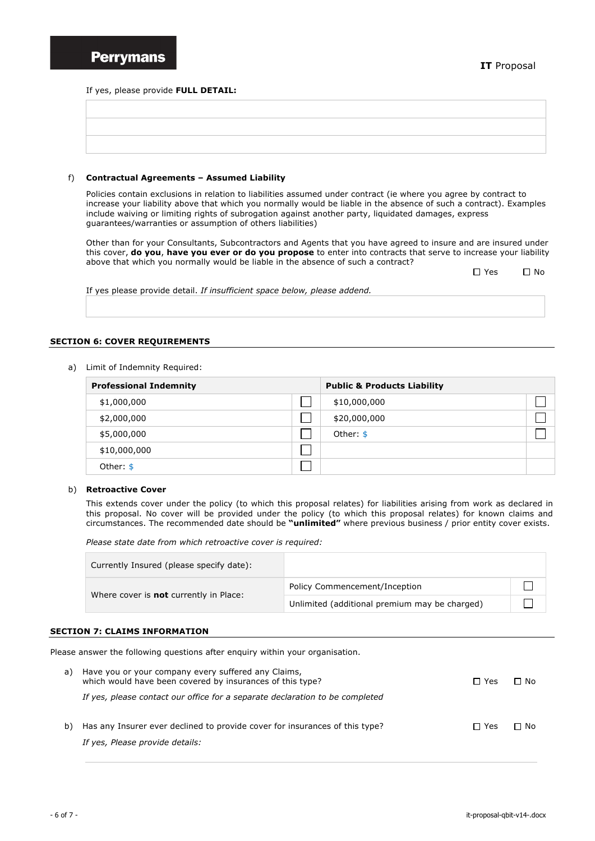If yes, please provide **FULL DETAIL:**

#### f) **Contractual Agreements – Assumed Liability**

Policies contain exclusions in relation to liabilities assumed under contract (ie where you agree by contract to increase your liability above that which you normally would be liable in the absence of such a contract). Examples include waiving or limiting rights of subrogation against another party, liquidated damages, express guarantees/warranties or assumption of others liabilities)

Other than for your Consultants, Subcontractors and Agents that you have agreed to insure and are insured under this cover, **do you**, **have you ever or do you propose** to enter into contracts that serve to increase your liability above that which you normally would be liable in the absence of such a contract?

| $\Box$ Yes | ∩ No |
|------------|------|
|            |      |

If yes please provide detail. *If insufficient space below, please addend.*

## **SECTION 6: COVER REQUIREMENTS**

a) Limit of Indemnity Required:

| <b>Professional Indemnity</b> | <b>Public &amp; Products Liability</b> |  |
|-------------------------------|----------------------------------------|--|
| \$1,000,000                   | \$10,000,000                           |  |
| \$2,000,000                   | \$20,000,000                           |  |
| \$5,000,000                   | Other: \$                              |  |
| \$10,000,000                  |                                        |  |
| Other: $$$                    |                                        |  |

#### b) **Retroactive Cover**

This extends cover under the policy (to which this proposal relates) for liabilities arising from work as declared in this proposal. No cover will be provided under the policy (to which this proposal relates) for known claims and circumstances. The recommended date should be **"unlimited"** where previous business / prior entity cover exists.

*Please state date from which retroactive cover is required:*

| Currently Insured (please specify date):      |                                               |  |
|-----------------------------------------------|-----------------------------------------------|--|
|                                               | Policy Commencement/Inception                 |  |
| Where cover is <b>not</b> currently in Place: | Unlimited (additional premium may be charged) |  |

## **SECTION 7: CLAIMS INFORMATION**

Please answer the following questions after enquiry within your organisation.

| a) Have you or your company every suffered any Claims,<br>which would have been covered by insurances of this type? | $\Box$ Yes | Π No |
|---------------------------------------------------------------------------------------------------------------------|------------|------|
| If yes, please contact our office for a separate declaration to be completed                                        |            |      |
| b) Has any Insurer ever declined to provide cover for insurances of this type?                                      | $\Box$ Yes | Π No |
| If yes, Please provide details:                                                                                     |            |      |